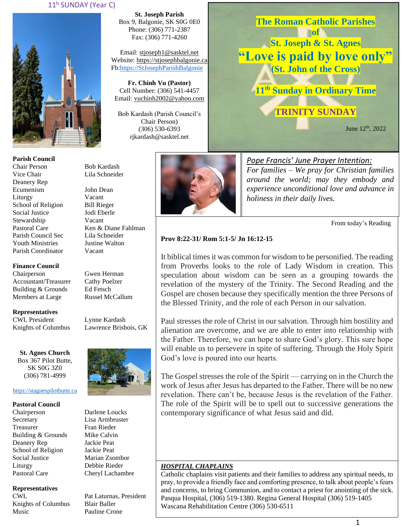### 11<sup>h</sup> SUNDAY (Year C)



**Parish Council** Chair Person Bob Kardash Vice Chair Lila Schneider Deanery Rep Ecumenism John Dean Liturgy Vacant School of Religion Bill Rieger Social Justice Jodi Eberle Stewardship Vacant Pastoral Care Ken & Diane Fahlman Parish Council Sec Lila Schneider Youth Ministries Justine Walton Parish Coordinator Vacant

**Finance Council**

Chairperson Gwen Herman Accountant/Treasurer Cathy Poelzer<br>Building & Grounds Ed Fetsch Building & Grounds Members at Large Russel McCallum

**Representatives** CWL President Lynne Kardash Knights of Columbus Lawrence Brisbois, GK

**St. Agnes Church** Box 367 Pilot Butte, SK S0G 3Z0 (306) 781-4999

### [https://stagnespilotbutte.ca](https://stagnespilotbutte.ca/)

#### **Pastoral Council**

Chairperson Darlene Loucks Secretary Lisa Armbruster Treasurer Fran Rieder Building & Grounds Mike Calvin Deanery Rep Jackie Peat School of Religion Jackie Peat Social Justice Marian Zsombor Liturgy Debbie Rieder Pastoral Care Cheryl Lachambre

### **Representatives**

Knights of Columbus Blair Baller Music Pauline Crone

**St. Joseph Parish** Box 9, Balgonie, SK S0G 0E0 Phone: (306) 771-2387 Fax: (306) 771-4260

Email: [stjoseph1@sasktel.net](mailto:stjoseph1@sasktel.net) Website: [https://stjosephbalgonie.ca](https://stjosephbalgonie.ca/) Fb[:https://StJosephParishBalgonie](https://stjosephparishbalgonie/)

**Fr. Chinh Vu (Pastor)** Cell Number: (306) 541-4457 Email: [vuchinh2002@yahoo.com](mailto:vuchinh2002@yahoo.com)

Bob Kardash (Parish Council's Chair Person) (306) 530-6393 rjkardash@sasktel.net



June 12<sup>th</sup>, 2022 *Pope Francis' June Prayer Intention: For families – We pray for Christian families* 

**The Roman Catholic Parishes of St. Joseph & St. Agnes**

**"Love is paid by love only" (St. John of the Cross)**

**11th Sunday in Ordinary Time**

**TRINITY SUNDAY**

*around the world; may they embody and experience unconditional love and advance in holiness in their daily lives.* 

From today's Reading

### **Prov 8:22-31/ Rom 5:1-5/ Jn 16:12-15**

It biblical times it was common for wisdom to be personified. The reading from Proverbs looks to the role of Lady Wisdom in creation. This speculation about wisdom can be seen as a grouping towards the revelation of the mystery of the Trinity. The Second Reading and the Gospel are chosen because they specifically mention the three Persons of the Blessed Trinity, and the role of each Person in our salvation.

Paul stresses the role of Christ in our salvation. Through him hostility and alienation are overcome, and we are able to enter into relationship with the Father. Therefore, we can hope to share God's glory. This sure hope will enable us to persevere in spite of suffering. Through the Holy Spirit God's love is poured into our hearts.

The Gospel stresses the role of the Spirit — carrying on in the Church the work of Jesus after Jesus has departed to the Father. There will be no new revelation. There can't be, because Jesus is the revelation of the Father. The role of the Spirit will be to spell out to successive generations the contemporary significance of what Jesus said and did.

#### *HOSPITAL CHAPLAINS*

Catholic chaplains visit patients and their families to address any spiritual needs, to pray, to provide a friendly face and comforting presence, to talk about people's fears and concerns, to bring Communion, and to contact a priest for anointing of the sick. Pasqua Hospital, (306) 519-1380. Regina General Hospital (306) 519-1405 Wascana Rehabilitation Centre (306) 530-6511



CWL Pat Laturnas, President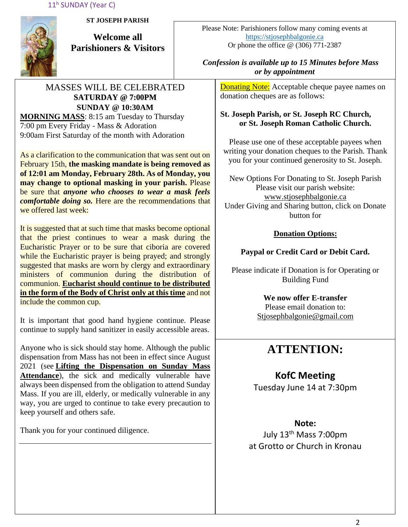11<sup>h</sup> SUNDAY (Year C)



**ST JOSEPH PARISH**

**Welcome all Parishioners & Visitors**

## MASSES WILL BE CELEBRATED **SATURDAY @ 7:00PM SUNDAY @ 10:30AM MORNING MASS**: 8:15 am Tuesday to Thursday

7:00 pm Every Friday - Mass & Adoration 9:00am First Saturday of the month with Adoration

As a clarification to the communication that was sent out on February 15th, **the masking mandate is being removed as of 12:01 am Monday, February 28th. As of Monday, you may change to optional masking in your parish.** Please be sure that *anyone who chooses to wear a mask feels comfortable doing so.* Here are the recommendations that we offered last week:

It is suggested that at such time that masks become optional that the priest continues to wear a mask during the Eucharistic Prayer or to be sure that ciboria are covered while the Eucharistic prayer is being prayed; and strongly suggested that masks are worn by clergy and extraordinary ministers of communion during the distribution of communion. **Eucharist should continue to be distributed in the form of the Body of Christ only at this time** and not include the common cup.

It is important that good hand hygiene continue. Please continue to supply hand sanitizer in easily accessible areas.

Anyone who is sick should stay home. Although the public dispensation from Mass has not been in effect since August 2021 (see **[Lifting the Dispensation on Sunday Mass](https://email-mg.flocknote.com/c/eJwVTruOwyAQ_Bq7M1oDxjQU1-Q_NgvEnAlE3j2d8vch0mhezUwM-2r0bucSNOgv7OoBtFcxGmOc9saCd3CnyUKunc7WJSnqz_kItMNqKW9g3ZYpk8ukacvGgbcR9TbXcIi8eDI_k74N4EXHlR6loeJTEY6qpX8eMpbXIeAHma-rJUtpjyUWfqXGKKW3hf9axPfyROYFRdJIjdJ8BRb12-9Yx0lGPiVV1ZJ8AD2CREI)  [Attendance](https://email-mg.flocknote.com/c/eJwVTruOwyAQ_Bq7M1oDxjQU1-Q_NgvEnAlE3j2d8vch0mhezUwM-2r0bucSNOgv7OoBtFcxGmOc9saCd3CnyUKunc7WJSnqz_kItMNqKW9g3ZYpk8ukacvGgbcR9TbXcIi8eDI_k74N4EXHlR6loeJTEY6qpX8eMpbXIeAHma-rJUtpjyUWfqXGKKW3hf9axPfyROYFRdJIjdJ8BRb12-9Yx0lGPiVV1ZJ8AD2CREI)**), the sick and medically vulnerable have always been dispensed from the obligation to attend Sunday Mass. If you are ill, elderly, or medically vulnerable in any way, you are urged to continue to take every precaution to keep yourself and others safe.

Thank you for your continued diligence.

Please Note: Parishioners follow many coming events at [https://stjosephbalgonie.ca](https://stjosephbalgonie.ca/) Or phone the office @ (306) 771-2387

## *Confession is available up to 15 Minutes before Mass or by appointment*

**Donating Note:** Acceptable cheque payee names on donation cheques are as follows:

## **St. Joseph Parish, or St. Joseph RC Church, or St. Joseph Roman Catholic Church.**

Please use one of these acceptable payees when writing your donation cheques to the Parish. Thank you for your continued generosity to St. Joseph.

New Options For Donating to St. Joseph Parish Please visit our parish website: [www.stjosephbalgonie.ca](http://www.stjosephbalgonie.ca/) Under Giving and Sharing button, click on Donate button for

## **Donation Options:**

# **Paypal or Credit Card or Debit Card.**

Please indicate if Donation is for Operating or Building Fund

> **We now offer E-transfer** Please email donation to: [Stjosephbalgonie@gmail.com](mailto:Stjosephbalgonie@gmail.com)

# **ATTENTION:**

# **KofC Meeting**

Tuesday June 14 at 7:30pm

# **Note:**

July 13th Mass 7:00pm at Grotto or Church in Kronau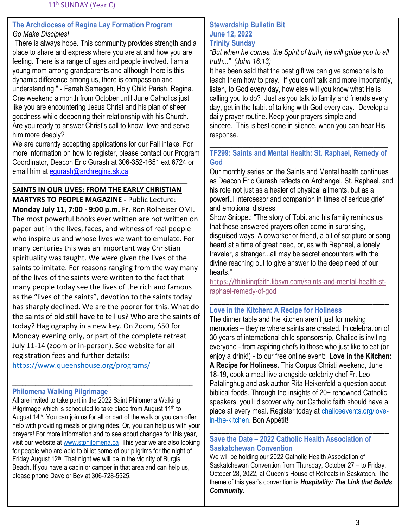## **The Archdiocese of Regina Lay Formation Program** *Go Make Disciples!*

"There is always hope. This community provides strength and a place to share and express where you are at and how you are feeling. There is a range of ages and people involved. I am a young mom among grandparents and although there is this dynamic difference among us, there is compassion and understanding." - Farrah Semegen, Holy Child Parish, Regina. One weekend a month from October until June Catholics just like you are encountering Jesus Christ and his plan of sheer goodness while deepening their relationship with his Church. Are you ready to answer Christ's call to know, love and serve him more deeply?

We are currently accepting applications for our Fall intake. For more information on how to register, please contact our Program Coordinator, Deacon Eric Gurash at 306-352-1651 ext 6724 or email him at equrash@archregina.sk.ca

# \_\_\_\_\_\_\_\_\_\_\_\_\_\_\_\_\_\_\_\_\_\_\_\_\_\_\_\_\_\_\_\_\_\_\_\_\_\_\_\_\_\_\_\_\_\_\_\_ **SAINTS IN OUR LIVES: FROM THE EARLY CHRISTIAN**

**MARTYRS TO PEOPLE MAGAZINE -** Public Lecture: **Monday July 11, 7:00 - 9:00 p.m.** Fr. Ron Rolheiser OMI. The most powerful books ever written are not written on paper but in the lives, faces, and witness of real people who inspire us and whose lives we want to emulate. For many centuries this was an important way Christian spirituality was taught. We were given the lives of the saints to imitate. For reasons ranging from the way many of the lives of the saints were written to the fact that many people today see the lives of the rich and famous as the "lives of the saints", devotion to the saints today has sharply declined. We are the poorer for this. What do the saints of old still have to tell us? Who are the saints of today? Hagiography in a new key. On Zoom, \$50 for Monday evening only, or part of the complete retreat July 11-14 (zoom or in-person). See website for all registration fees and further details:

<https://www.queenshouse.org/programs/>

### \_\_\_\_\_\_\_\_\_\_\_\_\_\_\_\_\_\_\_\_\_\_\_\_\_\_\_\_\_\_\_\_\_\_\_\_\_\_\_\_\_\_\_\_\_\_\_\_\_\_\_\_\_\_\_ **Philomena Walking Pilgrimage**

All are invited to take part in the 2022 Saint Philomena Walking Pilgrimage which is scheduled to take place from August 11<sup>th</sup> to August 14<sup>th</sup>. You can join us for all or part of the walk or you can offer help with providing meals or giving rides. Or, you can help us with your prayers! For more information and to see about changes for this year, visit our website at [www.stphilomena.ca](http://www.stphilomena.ca/) This year we are also looking for people who are able to billet some of our pilgrims for the night of Friday August  $12<sup>th</sup>$ . That night we will be in the vicinity of Burgis Beach. If you have a cabin or camper in that area and can help us, please phone Dave or Bev at 306-728-5525.

## **Stewardship Bulletin Bit June 12, 2022 Trinity Sunday**

*"But when he comes, the Spirit of truth, he will guide you to all truth..." (John 16:13)*

It has been said that the best gift we can give someone is to teach them how to pray. If you don't talk and more importantly, listen, to God every day, how else will you know what He is calling you to do? Just as you talk to family and friends every day, get in the habit of talking with God every day. Develop a daily prayer routine. Keep your prayers simple and sincere. This is best done in silence, when you can hear His response.

## \_\_\_\_\_\_\_\_\_\_\_\_\_\_\_\_\_\_\_\_\_\_\_\_\_\_\_\_\_\_\_\_\_\_\_\_\_\_\_\_\_\_\_\_\_\_\_\_\_ **TF299: Saints and Mental Health: St. Raphael, Remedy of God**

Our monthly series on the Saints and Mental health continues as Deacon Eric Gurash reflects on Archangel, St. Raphael, and his role not just as a healer of physical ailments, but as a powerful intercessor and companion in times of serious grief and emotional distress.

Show Snippet: "The story of Tobit and his family reminds us that these answered prayers often come in surprising, disguised ways. A coworker or friend, a bit of scripture or song heard at a time of great need, or, as with Raphael, a lonely traveler, a stranger...all may be secret encounters with the divine reaching out to give answer to the deep need of our hearts."

https://[thinkingfaith.libsyn.com/saints-and-mental-health-st](https://thinkingfaith.libsyn.com/saints-and-mental-health-st-raphael-remedy-of-god)[raphael-remedy-of-god](https://thinkingfaith.libsyn.com/saints-and-mental-health-st-raphael-remedy-of-god)

### \_\_\_\_\_\_\_\_\_\_\_\_\_\_\_\_\_\_\_\_\_\_\_\_\_\_\_\_\_\_\_\_\_\_\_\_\_\_\_\_\_\_\_\_\_ **Love in the Kitchen: A Recipe for Holiness**

The dinner table and the kitchen aren't just for making memories – they're where saints are created. In celebration of 30 years of international child sponsorship, Chalice is inviting everyone - from aspiring chefs to those who just like to eat (or enjoy a drink!) - to our free online event: **Love in the Kitchen: A Recipe for Holiness.** This Corpus Christi weekend, June 18-19, cook a meal live alongside celebrity chef Fr. Leo Patalinghug and ask author Rita Heikenfeld a question about biblical foods. Through the insights of 20+ renowned Catholic speakers, you'll discover why our Catholic faith should have a place at every meal. Register today at [chaliceevents.org/love](file://///ADR-DC01/users/shares/MGurash/Tuesday%20File/Archdiocesan%20News/2022/June/chaliceevents.org/love-in-the-kitchen)[in-the-kitchen.](file://///ADR-DC01/users/shares/MGurash/Tuesday%20File/Archdiocesan%20News/2022/June/chaliceevents.org/love-in-the-kitchen) Bon Appétit!

## \_\_\_\_\_\_\_\_\_\_\_\_\_\_\_\_\_\_\_\_\_\_\_\_\_\_\_\_\_\_\_\_\_\_\_\_\_\_\_\_\_\_\_\_\_ **Save the Date – 2022 Catholic Health Association of Saskatchewan Convention**

We will be holding our 2022 Catholic Health Association of Saskatchewan Convention from Thursday, October 27 – to Friday, October 28, 2022, at Queen's House of Retreats in Saskatoon. The theme of this year's convention is *Hospitality: The Link that Builds Community.*